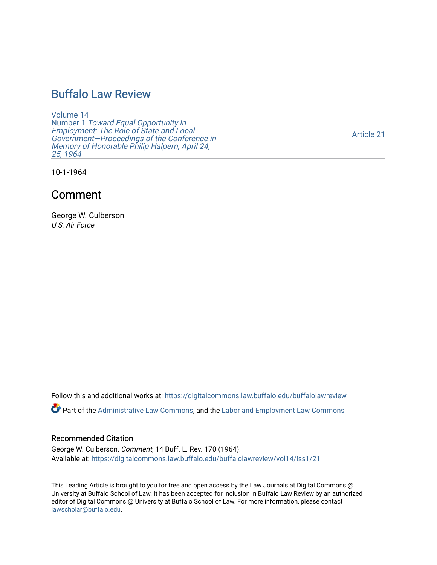# [Buffalo Law Review](https://digitalcommons.law.buffalo.edu/buffalolawreview)

[Volume 14](https://digitalcommons.law.buffalo.edu/buffalolawreview/vol14) Number 1 [Toward Equal Opportunity in](https://digitalcommons.law.buffalo.edu/buffalolawreview/vol14/iss1)  [Employment: The Role of State and Local](https://digitalcommons.law.buffalo.edu/buffalolawreview/vol14/iss1)  [Government—Proceedings of the Conference in](https://digitalcommons.law.buffalo.edu/buffalolawreview/vol14/iss1)  [Memory of Honorable Philip Halpern, April 24,](https://digitalcommons.law.buffalo.edu/buffalolawreview/vol14/iss1)  [25, 1964](https://digitalcommons.law.buffalo.edu/buffalolawreview/vol14/iss1) 

[Article 21](https://digitalcommons.law.buffalo.edu/buffalolawreview/vol14/iss1/21) 

10-1-1964

## Comment

George W. Culberson U.S. Air Force

Follow this and additional works at: [https://digitalcommons.law.buffalo.edu/buffalolawreview](https://digitalcommons.law.buffalo.edu/buffalolawreview?utm_source=digitalcommons.law.buffalo.edu%2Fbuffalolawreview%2Fvol14%2Fiss1%2F21&utm_medium=PDF&utm_campaign=PDFCoverPages) 

Part of the [Administrative Law Commons,](http://network.bepress.com/hgg/discipline/579?utm_source=digitalcommons.law.buffalo.edu%2Fbuffalolawreview%2Fvol14%2Fiss1%2F21&utm_medium=PDF&utm_campaign=PDFCoverPages) and the [Labor and Employment Law Commons](http://network.bepress.com/hgg/discipline/909?utm_source=digitalcommons.law.buffalo.edu%2Fbuffalolawreview%2Fvol14%2Fiss1%2F21&utm_medium=PDF&utm_campaign=PDFCoverPages) 

## Recommended Citation

George W. Culberson, Comment, 14 Buff. L. Rev. 170 (1964). Available at: [https://digitalcommons.law.buffalo.edu/buffalolawreview/vol14/iss1/21](https://digitalcommons.law.buffalo.edu/buffalolawreview/vol14/iss1/21?utm_source=digitalcommons.law.buffalo.edu%2Fbuffalolawreview%2Fvol14%2Fiss1%2F21&utm_medium=PDF&utm_campaign=PDFCoverPages)

This Leading Article is brought to you for free and open access by the Law Journals at Digital Commons @ University at Buffalo School of Law. It has been accepted for inclusion in Buffalo Law Review by an authorized editor of Digital Commons @ University at Buffalo School of Law. For more information, please contact [lawscholar@buffalo.edu](mailto:lawscholar@buffalo.edu).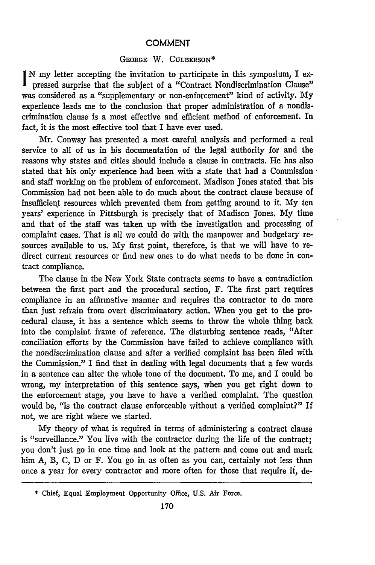#### COMMENT

#### GEORGE W. **CULBERSON\***

N my letter accepting the invitation to participate in this symposium, I expressed surprise that the subject of a "Contract Nondiscrimination Clause" was considered as a "supplementary or non-enforcement" kind of activity. My experience leads me to the conclusion that proper administration of a nondiscrimination clause is a most effective and efficient method of enforcement. In fact, it is the most effective tool that I have ever used.

Mr. Conway has presented a most careful analysis and performed a real service to all of us in his documentation of the legal authority for and the reasons why states and cities should include a clause in contracts. He has also stated that his only experience had been with a state that had a Commission' and staff working on the problem of enforcement. Madison Jones stated that his Commission had not been able to do much about the contract clause because of insufficient resources which prevented them from getting around to it. My ten years' experience in Pittsburgh is precisely that of Madison Jones. My time and that of the staff was taken up with the investigation and processing of complaint cases. That is all we could do with the manpower and budgetary resources available to us. My first point, therefore, is that we will have to redirect current resources or find new ones to do what needs to be done in contract compliance.

The clause in the New York State contracts seems to have a contradiction between the first part and the procedural section, F. The first part requires compliance in an affirmative manner and requires the contractor to do more than just refrain from overt discriminatory action. When you get to the procedural clause, it has a sentence which seems to throw the whole thing back into the complaint frame of reference. The disturbing sentence reads, "After conciliation efforts by the Commission have failed to achieve compliance with the nondiscrimination clause and after a verified complaint has been filed with the Commission." I find that in dealing with legal documents that a few words in a sentence can alter the whole tone of the document. To me, and I could be wrong, my interpretation of this sentence says, when you get right down to the enforcement stage, you have to have a verified complaint. The question would be, "is the contract clause enforceable without a verified complaint?" If not, we are right where we started.

My theory of what is required in terms of administering a contract clause is "surveillance." You live with the contractor during the life of the contract; you don't just go in one time and look at the pattern and come out and mark him A, B, C, D or F. You go in as often as you can, certainly not less than once a year for every contractor and more often for those that require it, de-

**<sup>\*</sup> Chief, Equal Employment Opportunity Office, U.S. Air Force.**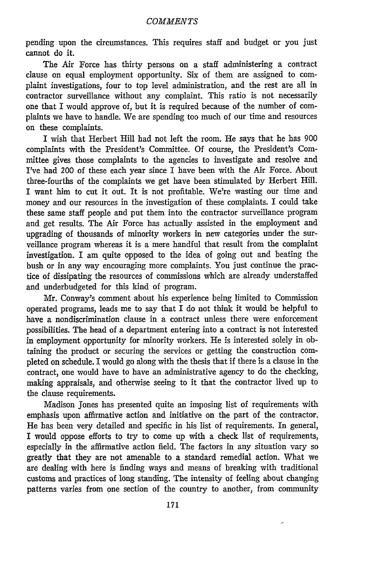pending upon the circumstances. This requires staff and budget or you just cannot do it.

The Air Force has thirty persons on a staff administering a contract clause on equal employment opportunity. Six of them are assigned to complaint investigations, four to top level administration, and the rest are all in contractor surveillance without any complaint. This ratio is not necessarily one that I would approve of, but it is required because of the number of complaints we have to handle. We are spending too much of our time and resources on these complaints.

I wish that Herbert Hill had not left the room. He says that he has 900 complaints with the President's Committee. Of course, the President's Committee gives those complaints to the agencies to investigate and resolve and I've had 200 of these each year since I have been with the Air Force. About three-fourths of the complaints we get have been stimulated by Herbert Hill. I want him to cut it out. It is not profitable. We're wasting our time and money and our resources in the investigation of these complaints. I could take these same staff people and put them into the contractor surveillance program and get results. The Air Force has actually assisted in the employment and upgrading of thousands of minority workers in new categories under the surveillance program whereas it is a mere handful that result from the complaint investigation. I am quite opposed to the idea of going out and beating the bush or in any way encouraging more complaints. You just continue the practice of dissipating the resources of commissions which are already understaffed and underbudgeted for this kind of program.

Mr. Conway's comment about his experience being limited to Commission operated programs, leads me to say that I do not think it would be helpful to have a nondiscrimination clause in a contract unless there were enforcement possibilities. The head of a department entering into a contract is not interested in employment opportunity for minority workers. He is interested solely in obtaining the product or securing the services or getting the construction completed on schedule. I would go along with the thesis that if there is a clause in the contract, one would have to have an administrative agency to do the checking, making appraisals, and otherwise seeing to it that the contractor lived up to the clause requirements.

Madison Jones has presented quite an imposing list of requirements with emphasis upon affirmative action and initiative on the part of the contractor. He has been very detailed and specific in his list of requirements. In general, I would oppose efforts to try to come up with a check list of requirements, especially in the affirmative action field. The factors in any situation vary so greatly that they are not amenable to a standard remedial action. What we are dealing with here is finding ways and means of breaking with traditional customs and practices of long standing. The intensity of feeling about changing patterns varies from one section of the country to another, from community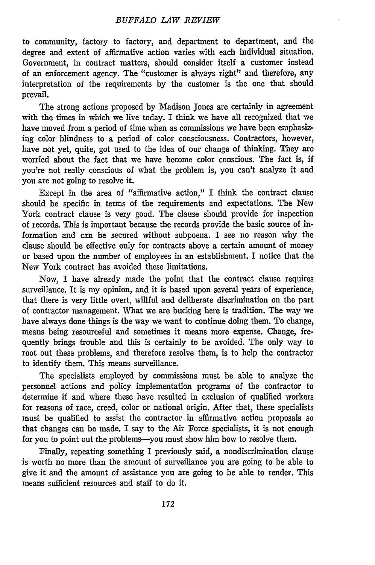## *BUFFALO LAW REVIEW*

to community, factory to factory, and department to department, and the degree and extent of affirmative action varies with each individual situation. Government, in contract matters, should consider itself a customer instead of an enforcement agency. The "customer is always right" and therefore, any interpretation of the requirements by the customer is the one that should prevail.

The strong actions proposed by Madison Jones are certainly in agreement with the times in which we live today. I think we have all recognized that we have moved from a period of time when as commissions we have been emphasizing color blindness to a period of color consciousness. Contractors, however, have not yet, quite, got used to the idea of our change of thinking. They are worried about the fact that we have become color conscious. The fact is, if you're not really conscious of what the problem is, you can't analyze it and you are not going to resolve it.

Except in the area of "affirmative action," I think the contract clause should be specific in terms of the requirements and expectations. The New York contract clause is very good. The clause should provide for inspection of records. This is important because the records provide the basic source of information and can be secured without subpoena. I see no reason why the clause should be effective only for contracts above a certain amount of money or based upon the number of employees in an establishment. I notice that the New York contract has avoided these limitations.

Now, I have already made the point that the contract clause requires surveillance. It is my opinion, and it is based upon several years of experience, that there is very little overt, willful and deliberate discrimination on the part of contractor management. What we are bucking here is tradition. The way we have always done things is the way we want to continue doing them. To change, means being resourceful and sometimes it means more expense. Change, frequently brings trouble and this is certainly to be avoided. The only way to root out these problems, and therefore resolve them, is to help the contractor to identify them. This means surveillance.

The specialists employed by commissions must be able to analyze the personnel actions and policy implementation programs of the contractor to determine if and where these have resulted in exclusion of qualified workers for reasons of race, creed, color or national origin. After that, these specialists must be qualified to assist the contractor in affirmative action proposals so that changes can be made. I say to the Air Force specialists, it is not enough for you to point out the problems-you must show him how to resolve them.

Finally, repeating something I previously said, a nondiscrimination clause is worth no more than the amount of surveillance you are going to be able to give it and the amount of assistance you are going to be able to render. This means sufficient resources and staff to do it.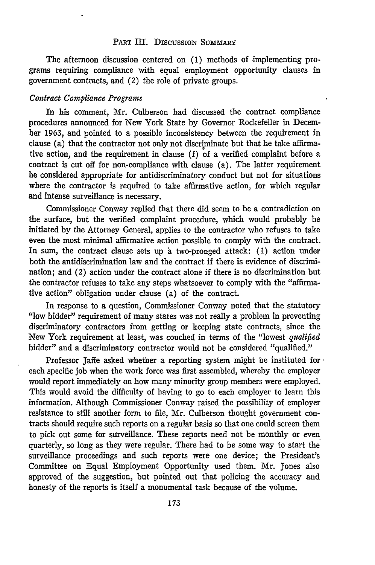#### PART III. DISCUSSION **SUMMARY**

The afternoon discussion centered on (1) methods of implementing programs requiring compliance with equal employment opportunity clauses in government contracts, and (2) the role of private groups.

#### *Contract Compliance Programs*

In his comment, Mr. Culberson had discussed the contract compliance procedures announced for New York State **by** Governor Rockefeller in December 1963, and pointed to a possible inconsistency between the requirement in clause (a) that the contractor not only not discriminate but that he take affirmative action, and the requirement in clause (f) of a verified complaint before a contract is cut off for non-compliance with clause (a). The latter requirement he considered appropriate for antidiscriminatory conduct but not for situations where the contractor is required to take affirmative action, for which regular and intense surveillance is necessary.

Commissioner Conway replied that there did seem to be a contradiction on the surface, but the verified complaint procedure, which would probably be initiated **by** the Attorney General, applies to the contractor who refuses to take even the most minimal affirmative action possible to comply with the contract. In sum, the contract clause sets up a two-pronged attack: (1) action under both the antidiscrimination law and the contract if there is evidence of discrimination; and (2) action under the contract alone if there is no discrimination but the contractor refuses to take any steps whatsoever to comply with the "affirmative action" obligation under clause (a) of the contract.

In response to a question, Commissioner Conway noted that the statutory "low bidder" requirement of many states was not really a problem in preventing discriminatory contractors from getting or keeping state contracts, since the New York requirement at least, was couched in terms of the "lowest *qualified* bidder" and a discriminatory contractor would not be considered "qualified."

Professor Jaffe asked whether a reporting system might be instituted for  $\cdot$ each specific job when the work force was first assembled, whereby the employer would report immediately on how many minority group members were employed. This would avoid the difficulty of having to go to each employer to learn this information. Although Commissioner Conway raised the possibility of employer resistance to still another form to file, Mr. Culberson thought government contracts should require such reports on a regular basis so that one could screen them to pick out some for surveillance. These reports need not be monthly or even quarterly, so long as they were regular. There had to be some way to start the surveillance proceedings and such reports were one device; the President's Committee on Equal Employment Opportunity used them. Mr. Jones also approved of the suggestion, but pointed out that policing the accuracy and honesty of the reports is itself a monumental task because of the volume.